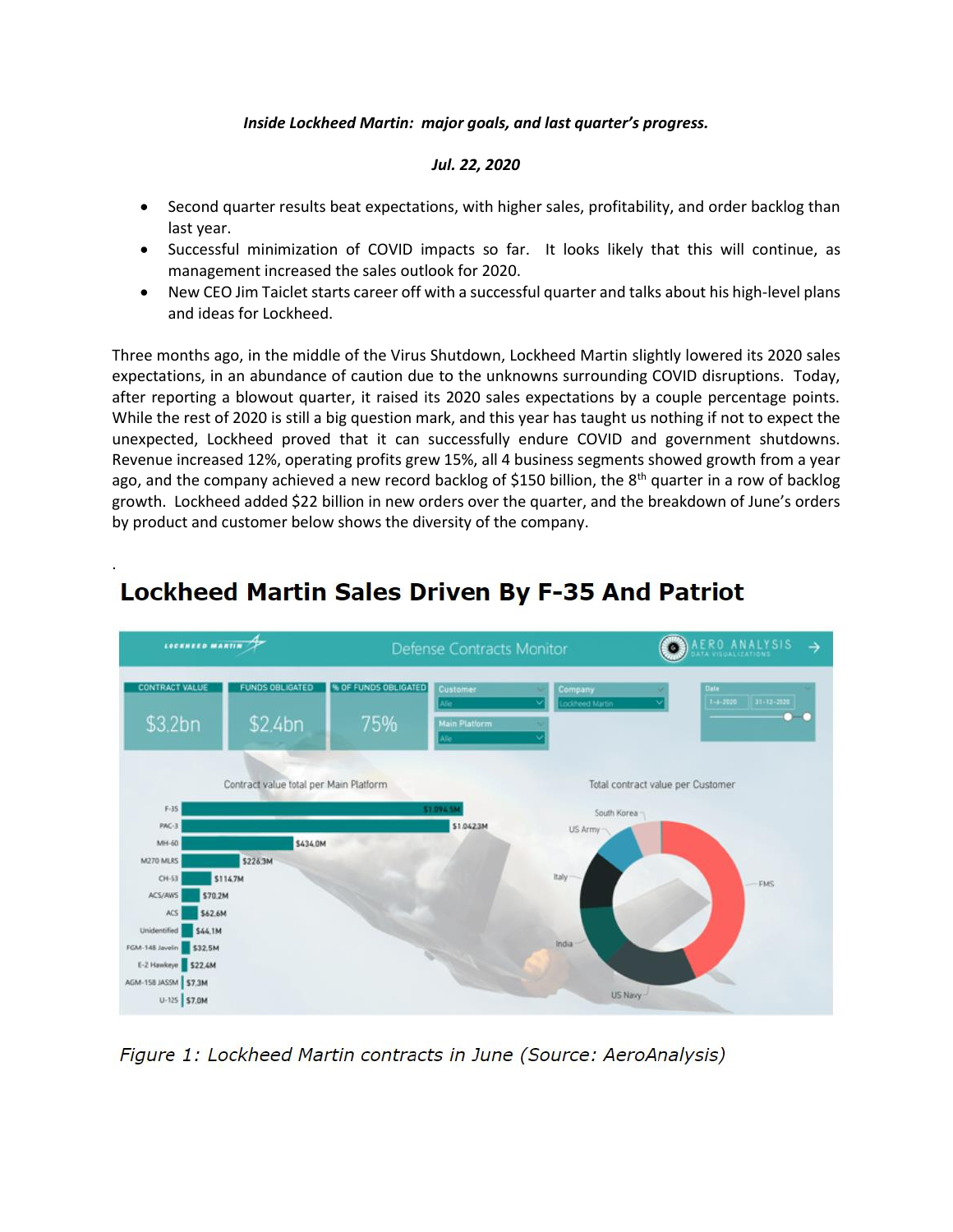## *Inside Lockheed Martin: major goals, and last quarter's progress.*

## *Jul. 22, 2020*

- Second quarter results beat expectations, with higher sales, profitability, and order backlog than last year.
- Successful minimization of COVID impacts so far. It looks likely that this will continue, as management increased the sales outlook for 2020.
- New CEO Jim Taiclet starts career off with a successful quarter and talks about his high-level plans and ideas for Lockheed.

Three months ago, in the middle of the Virus Shutdown, Lockheed Martin slightly lowered its 2020 sales expectations, in an abundance of caution due to the unknowns surrounding COVID disruptions. Today, after reporting a blowout quarter, it raised its 2020 sales expectations by a couple percentage points. While the rest of 2020 is still a big question mark, and this year has taught us nothing if not to expect the unexpected, Lockheed proved that it can successfully endure COVID and government shutdowns. Revenue increased 12%, operating profits grew 15%, all 4 business segments showed growth from a year ago, and the company achieved a new record backlog of \$150 billion, the  $8<sup>th</sup>$  quarter in a row of backlog growth. Lockheed added \$22 billion in new orders over the quarter, and the breakdown of June's orders by product and customer below shows the diversity of the company.



## **Lockheed Martin Sales Driven By F-35 And Patriot**

.

Figure 1: Lockheed Martin contracts in June (Source: AeroAnalysis)